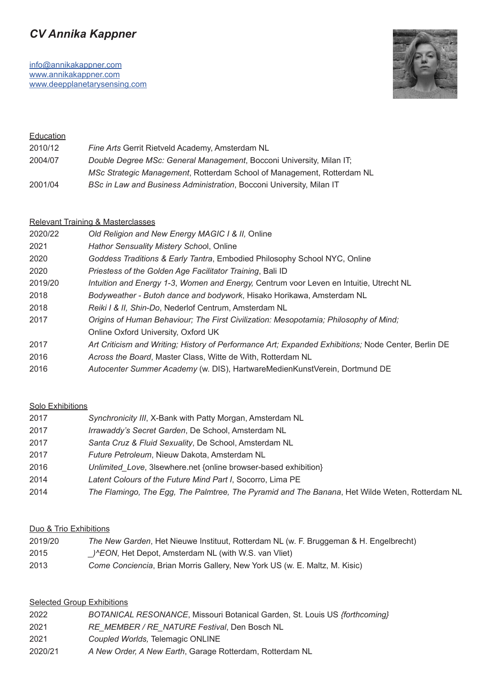# *CV Annika Kappner*

[info@annikakappner.com](mailto:info%40annikakappner.com?subject=) [www.annikakappner.com](http://www.annikakappner.com/) [www.deepplanetarysensing.com](http://www.deepplanetarysensing.com)



| Education |                                                                        |
|-----------|------------------------------------------------------------------------|
| 2010/12   | Fine Arts Gerrit Rietveld Academy, Amsterdam NL                        |
| 2004/07   | Double Degree MSc: General Management, Bocconi University, Milan IT;   |
|           | MSc Strategic Management, Rotterdam School of Management, Rotterdam NL |
| 2001/04   | BSc in Law and Business Administration, Bocconi University, Milan IT   |

#### Relevant Training & Masterclasses

| 2020/22 | Old Religion and New Energy MAGIC I & II, Online                                                    |
|---------|-----------------------------------------------------------------------------------------------------|
| 2021    | Hathor Sensuality Mistery School, Online                                                            |
| 2020    | Goddess Traditions & Early Tantra, Embodied Philosophy School NYC, Online                           |
| 2020    | Priestess of the Golden Age Facilitator Training, Bali ID                                           |
| 2019/20 | Intuition and Energy 1-3, Women and Energy, Centrum voor Leven en Intuitie, Utrecht NL              |
| 2018    | Bodyweather - Butoh dance and bodywork, Hisako Horikawa, Amsterdam NL                               |
| 2018    | Reiki I & II, Shin-Do, Nederlof Centrum, Amsterdam NL                                               |
| 2017    | Origins of Human Behaviour; The First Civilization: Mesopotamia; Philosophy of Mind;                |
|         | Online Oxford University, Oxford UK                                                                 |
| 2017    | Art Criticism and Writing; History of Performance Art; Expanded Exhibitions; Node Center, Berlin DE |
| 2016    | Across the Board, Master Class, Witte de With, Rotterdam NL                                         |
| 2016    | Autocenter Summer Academy (w. DIS), HartwareMedienKunstVerein, Dortmund DE                          |
|         |                                                                                                     |

#### Solo Exhibitions

| 2017 | Synchronicity III, X-Bank with Patty Morgan, Amsterdam NL                                      |
|------|------------------------------------------------------------------------------------------------|
| 2017 | Irrawaddy's Secret Garden, De School, Amsterdam NL                                             |
| 2017 | Santa Cruz & Fluid Sexuality, De School, Amsterdam NL                                          |
| 2017 | Future Petroleum, Nieuw Dakota, Amsterdam NL                                                   |
| 2016 | Unlimited Love, 3 sewhere.net {online browser-based exhibition}                                |
| 2014 | Latent Colours of the Future Mind Part I, Socorro, Lima PE                                     |
| 2014 | The Flamingo, The Egg, The Palmtree, The Pyramid and The Banana, Het Wilde Weten, Rotterdam NL |

#### Duo & Trio Exhibitions

| 2019/20 | The New Garden, Het Nieuwe Instituut, Rotterdam NL (w. F. Bruggeman & H. Engelbrecht) |
|---------|---------------------------------------------------------------------------------------|
|---------|---------------------------------------------------------------------------------------|

- 2015 *\_)^EON*, Het Depot, Amsterdam NL (with W.S. van Vliet)
- 2013 *Come Conciencia*, Brian Morris Gallery, New York US (w. E. Maltz, M. Kisic)

#### **Selected Group Exhibitions**

| 2022 | BOTANICAL RESONANCE, Missouri Botanical Garden, St. Louis US {forthcoming} |  |
|------|----------------------------------------------------------------------------|--|
|------|----------------------------------------------------------------------------|--|

- 2021 *RE\_MEMBER / RE\_NATURE Festival*, Den Bosch NL
- 2021 *Coupled Worlds,* Telemagic ONLINE
- 2020/21 *A New Order, A New Earth*, Garage Rotterdam, Rotterdam NL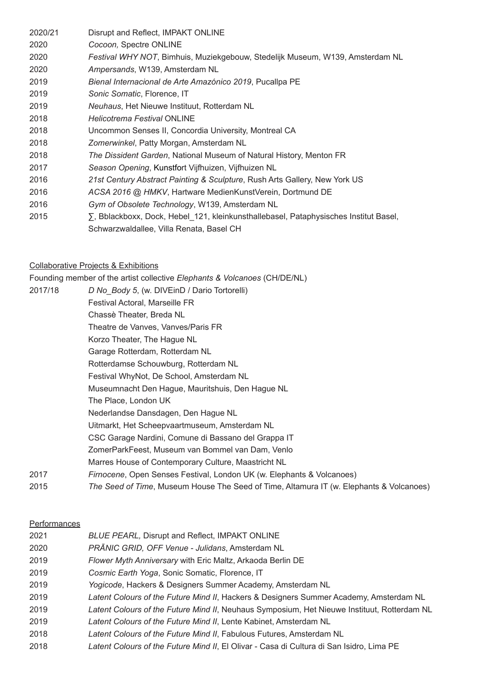2020/21 Disrupt and Reflect, IMPAKT ONLINE  *Cocoon,* Spectre ONLINE *Festival WHY NOT*, Bimhuis, Muziekgebouw, Stedelijk Museum, W139, Amsterdam NL *Ampersands*, W139, Amsterdam NL *Bienal Internacional de Arte Amazónico 2019*, Pucallpa PE *Sonic Somatic*, Florence, IT *Neuhaus*, Het Nieuwe Instituut, Rotterdam NL *Helicotrema Festival* ONLINE 2018 Uncommon Senses II, Concordia University, Montreal CA *Zomerwinkel*, Patty Morgan, Amsterdam NL *The Dissident Garden*, National Museum of Natural History, Menton FR *Season Opening*, Kunstfort Vijfhuizen, Vijfhuizen NL *21st Century Abstract Painting & Sculpture*, Rush Arts Gallery, New York US *ACSA 2016 @ HMKV*, Hartware MedienKunstVerein, Dortmund DE *Gym of Obsolete Technology*, W139, Amsterdam NL **Example 2015** S, Bblackboxx, Dock, Hebel 121, kleinkunsthallebasel, Pataphysisches Institut Basel, Schwarzwaldallee, Villa Renata, Basel CH

#### Collaborative Projects & Exhibitions

Founding member of the artist collective *Elephants & Volcanoes* (CH/DE/NL)

2017/18 *D No\_Body 5*, (w. DIVEinD / Dario Tortorelli) Festival Actoral, Marseille FR Chassè Theater, Breda NL Theatre de Vanves, Vanves/Paris FR Korzo Theater, The Hague NL Garage Rotterdam, Rotterdam NL Rotterdamse Schouwburg, Rotterdam NL Festival WhyNot, De School, Amsterdam NL Museumnacht Den Hague, Mauritshuis, Den Hague NL The Place, London UK Nederlandse Dansdagen, Den Hague NL Uitmarkt, Het Scheepvaartmuseum, Amsterdam NL CSC Garage Nardini, Comune di Bassano del Grappa IT ZomerParkFeest, Museum van Bommel van Dam, Venlo Marres House of Contemporary Culture, Maastricht NL 2017 *Firnocene*, Open Senses Festival, London UK (w. Elephants & Volcanoes) 2015 *The Seed of Time*, Museum House The Seed of Time, Altamura IT (w. Elephants & Volcanoes)

#### Performances

| 2021 | <b>BLUE PEARL, Disrupt and Reflect, IMPAKT ONLINE</b>                                       |
|------|---------------------------------------------------------------------------------------------|
| 2020 | PRĀNIC GRID, OFF Venue - Julidans, Amsterdam NL                                             |
| 2019 | Flower Myth Anniversary with Eric Maltz, Arkaoda Berlin DE                                  |
| 2019 | Cosmic Earth Yoga, Sonic Somatic, Florence, IT                                              |
| 2019 | Yogicode, Hackers & Designers Summer Academy, Amsterdam NL                                  |
| 2019 | Latent Colours of the Future Mind II, Hackers & Designers Summer Academy, Amsterdam NL      |
| 2019 | Latent Colours of the Future Mind II, Neuhaus Symposium, Het Nieuwe Instituut, Rotterdam NL |
| 2019 | Latent Colours of the Future Mind II, Lente Kabinet, Amsterdam NL                           |
| 2018 | Latent Colours of the Future Mind II, Fabulous Futures, Amsterdam NL                        |
| 2018 | Latent Colours of the Future Mind II, El Olivar - Casa di Cultura di San Isidro, Lima PE    |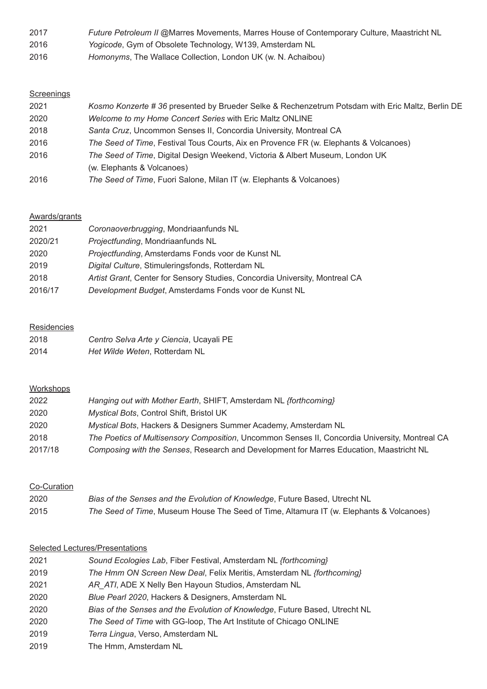| 2017 | Future Petroleum II @Marres Movements, Marres House of Contemporary Culture, Maastricht NL |
|------|--------------------------------------------------------------------------------------------|
| 2016 | Yogicode, Gym of Obsolete Technology, W139, Amsterdam NL                                   |
| 0010 | $l = 1$ . The Mellers Celler-Lee Leeder I II (  N Askelber)                                |

*Homonyms*, The Wallace Collection, London UK (w. N. Achaibou)

## **Screenings**

| 2021 | Kosmo Konzerte # 36 presented by Brueder Selke & Rechenzetrum Potsdam with Eric Maltz, Berlin DE |
|------|--------------------------------------------------------------------------------------------------|
| 2020 | <i>Welcome to my Home Concert Series with Eric Maltz ONLINE</i>                                  |
| 2018 | Santa Cruz, Uncommon Senses II, Concordia University, Montreal CA                                |
| 2016 | The Seed of Time, Festival Tous Courts, Aix en Provence FR (w. Elephants & Volcanoes)            |
| 2016 | The Seed of Time, Digital Design Weekend, Victoria & Albert Museum, London UK                    |
|      | (w. Elephants & Volcanoes)                                                                       |
| 2016 | The Seed of Time, Fuori Salone, Milan IT (w. Elephants & Volcanoes)                              |

#### Awards/grants

| 2021    | Coronaoverbrugging, Mondriaanfunds NL                                       |
|---------|-----------------------------------------------------------------------------|
| 2020/21 | Projectfunding, Mondriaanfunds NL                                           |
| 2020    | Projectfunding, Amsterdams Fonds voor de Kunst NL                           |
| 2019    | Digital Culture, Stimuleringsfonds, Rotterdam NL                            |
| 2018    | Artist Grant, Center for Sensory Studies, Concordia University, Montreal CA |
| 2016/17 | Development Budget, Amsterdams Fonds voor de Kunst NL                       |

## **Residencies**

| 2018 | Centro Selva Arte y Ciencia, Ucayali PE |
|------|-----------------------------------------|
| 2014 | Het Wilde Weten, Rotterdam NL           |

## **Workshops**

| 2022    | Hanging out with Mother Earth, SHIFT, Amsterdam NL {forthcoming}                               |
|---------|------------------------------------------------------------------------------------------------|
| 2020    | Mystical Bots, Control Shift, Bristol UK                                                       |
| 2020    | Mystical Bots, Hackers & Designers Summer Academy, Amsterdam NL                                |
| 2018    | The Poetics of Multisensory Composition, Uncommon Senses II, Concordia University, Montreal CA |
| 2017/18 | Composing with the Senses, Research and Development for Marres Education, Maastricht NL        |

## Co-Curation

| 2020 | Bias of the Senses and the Evolution of Knowledge, Future Based, Utrecht NL             |
|------|-----------------------------------------------------------------------------------------|
| 2015 | The Seed of Time, Museum House The Seed of Time, Altamura IT (w. Elephants & Volcanoes) |

## Selected Lectures/Presentations

| 2021 | Sound Ecologies Lab, Fiber Festival, Amsterdam NL {forthcoming}             |
|------|-----------------------------------------------------------------------------|
| 2019 | The Hmm ON Screen New Deal, Felix Meritis, Amsterdam NL {forthcoming}       |
| 2021 | AR ATI, ADE X Nelly Ben Hayoun Studios, Amsterdam NL                        |
| 2020 | Blue Pearl 2020, Hackers & Designers, Amsterdam NL                          |
| 2020 | Bias of the Senses and the Evolution of Knowledge, Future Based, Utrecht NL |
| 2020 | The Seed of Time with GG-loop, The Art Institute of Chicago ONLINE          |
| 2019 | Terra Lingua, Verso, Amsterdam NL                                           |
| 2019 | The Hmm, Amsterdam NL                                                       |